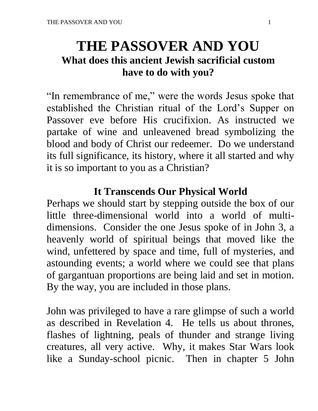# **THE PASSOVER AND YOU What does this ancient Jewish sacrificial custom have to do with you?**

"In remembrance of me," were the words Jesus spoke that established the Christian ritual of the Lord's Supper on Passover eve before His crucifixion. As instructed we partake of wine and unleavened bread symbolizing the blood and body of Christ our redeemer. Do we understand its full significance, its history, where it all started and why it is so important to you as a Christian?

#### **It Transcends Our Physical World**

Perhaps we should start by stepping outside the box of our little three-dimensional world into a world of multidimensions. Consider the one Jesus spoke of in John 3, a heavenly world of spiritual beings that moved like the wind, unfettered by space and time, full of mysteries, and astounding events; a world where we could see that plans of gargantuan proportions are being laid and set in motion. By the way, you are included in those plans.

John was privileged to have a rare glimpse of such a world as described in Revelation 4. He tells us about thrones, flashes of lightning, peals of thunder and strange living creatures, all very active. Why, it makes Star Wars look like a Sunday-school picnic. Then in chapter 5 John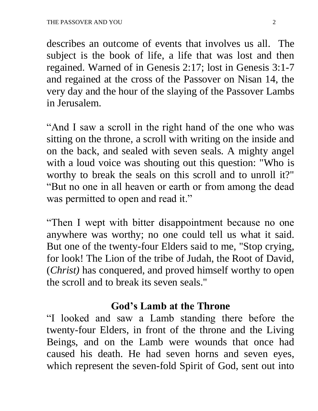describes an outcome of events that involves us all. The subject is the book of life, a life that was lost and then regained. Warned of in Genesis 2:17; lost in Genesis 3:1-7 and regained at the cross of the Passover on Nisan 14, the very day and the hour of the slaying of the Passover Lambs in Jerusalem.

"And I saw a scroll in the right hand of the one who was sitting on the throne, a scroll with writing on the inside and on the back, and sealed with seven seals. A mighty angel with a loud voice was shouting out this question: "Who is worthy to break the seals on this scroll and to unroll it?" "But no one in all heaven or earth or from among the dead was permitted to open and read it."

"Then I wept with bitter disappointment because no one anywhere was worthy; no one could tell us what it said. But one of the twenty-four Elders said to me, "Stop crying, for look! The Lion of the tribe of Judah, the Root of David, (*Christ)* has conquered, and proved himself worthy to open the scroll and to break its seven seals."

## **God's Lamb at the Throne**

"I looked and saw a Lamb standing there before the twenty-four Elders, in front of the throne and the Living Beings, and on the Lamb were wounds that once had caused his death. He had seven horns and seven eyes, which represent the seven-fold Spirit of God, sent out into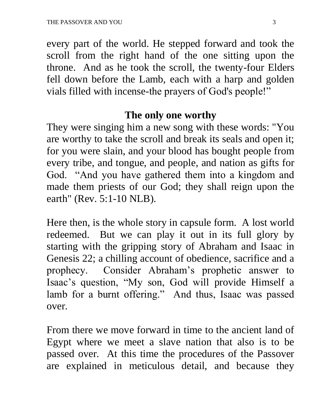every part of the world. He stepped forward and took the scroll from the right hand of the one sitting upon the throne. And as he took the scroll, the twenty-four Elders fell down before the Lamb, each with a harp and golden vials filled with incense-the prayers of God's people!"

#### **The only one worthy**

They were singing him a new song with these words: "You are worthy to take the scroll and break its seals and open it; for you were slain, and your blood has bought people from every tribe, and tongue, and people, and nation as gifts for God. "And you have gathered them into a kingdom and made them priests of our God; they shall reign upon the earth" (Rev. 5:1-10 NLB).

Here then, is the whole story in capsule form. A lost world redeemed. But we can play it out in its full glory by starting with the gripping story of Abraham and Isaac in Genesis 22; a chilling account of obedience, sacrifice and a prophecy. Consider Abraham's prophetic answer to Isaac's question, "My son, God will provide Himself a lamb for a burnt offering." And thus, Isaac was passed over.

From there we move forward in time to the ancient land of Egypt where we meet a slave nation that also is to be passed over. At this time the procedures of the Passover are explained in meticulous detail, and because they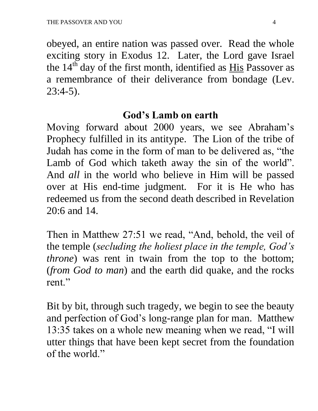obeyed, an entire nation was passed over. Read the whole exciting story in Exodus 12. Later, the Lord gave Israel the  $14<sup>th</sup>$  day of the first month, identified as  $\underline{His}$  Passover as a remembrance of their deliverance from bondage (Lev. 23:4-5).

#### **God's Lamb on earth**

Moving forward about 2000 years, we see Abraham's Prophecy fulfilled in its antitype. The Lion of the tribe of Judah has come in the form of man to be delivered as, "the Lamb of God which taketh away the sin of the world". And *all* in the world who believe in Him will be passed over at His end-time judgment. For it is He who has redeemed us from the second death described in Revelation 20:6 and 14.

Then in Matthew 27:51 we read, "And, behold, the veil of the temple (*secluding the holiest place in the temple, God's throne*) was rent in twain from the top to the bottom; (*from God to man*) and the earth did quake, and the rocks rent."

Bit by bit, through such tragedy, we begin to see the beauty and perfection of God's long-range plan for man. Matthew 13:35 takes on a whole new meaning when we read, "I will utter things that have been kept secret from the foundation of the world."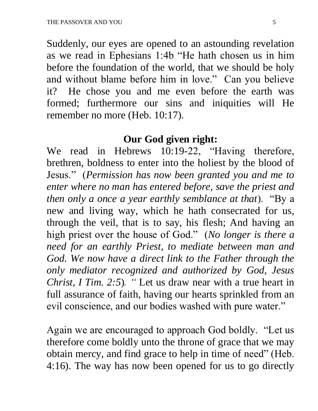Suddenly, our eyes are opened to an astounding revelation as we read in Ephesians 1:4b "He hath chosen us in him before the foundation of the world, that we should be holy and without blame before him in love." Can you believe it? He chose you and me even before the earth was formed; furthermore our sins and iniquities will He remember no more (Heb. 10:17).

#### **Our God given right:**

We read in Hebrews 10:19-22, "Having therefore, brethren, boldness to enter into the holiest by the blood of Jesus." (*Permission has now been granted you and me to enter where no man has entered before, save the priest and then only a once a year earthly semblance at that*). "By a new and living way, which he hath consecrated for us, through the veil, that is to say, his flesh; And having an high priest over the house of God." (*No longer is there a need for an earthly Priest, to mediate between man and*  God. We now have a direct link to the Father through the *only mediator recognized and authorized by God, Jesus Christ, I Tim. 2:5*)*.* " Let us draw near with a true heart in full assurance of faith, having our hearts sprinkled from an evil conscience, and our bodies washed with pure water."

Again we are encouraged to approach God boldly. "Let us therefore come boldly unto the throne of grace that we may obtain mercy, and find grace to help in time of need" (Heb. 4:16). The way has now been opened for us to go directly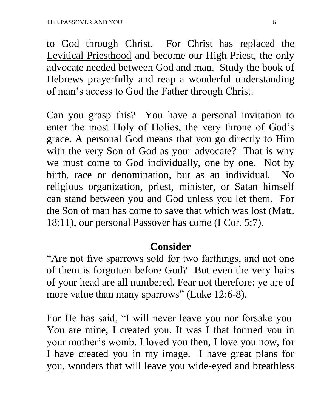to God through Christ. For Christ has replaced the Levitical Priesthood and become our High Priest, the only advocate needed between God and man. Study the book of Hebrews prayerfully and reap a wonderful understanding of man's access to God the Father through Christ.

Can you grasp this? You have a personal invitation to enter the most Holy of Holies, the very throne of God's grace. A personal God means that you go directly to Him with the very Son of God as your advocate? That is why we must come to God individually, one by one. Not by birth, race or denomination, but as an individual. No religious organization, priest, minister, or Satan himself can stand between you and God unless you let them. For the Son of man has come to save that which was lost (Matt. 18:11), our personal Passover has come (I Cor. 5:7).

## **Consider**

"Are not five sparrows sold for two farthings, and not one of them is forgotten before God? But even the very hairs of your head are all numbered. Fear not therefore: ye are of more value than many sparrows" (Luke 12:6-8).

For He has said, "I will never leave you nor forsake you. You are mine; I created you. It was I that formed you in your mother's womb. I loved you then, I love you now, for I have created you in my image. I have great plans for you, wonders that will leave you wide-eyed and breathless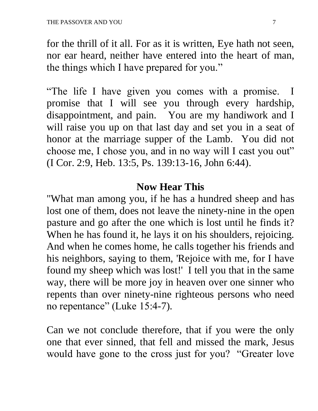for the thrill of it all. For as it is written, Eye hath not seen, nor ear heard, neither have entered into the heart of man, the things which I have prepared for you."

"The life I have given you comes with a promise. I promise that I will see you through every hardship, disappointment, and pain. You are my handiwork and I will raise you up on that last day and set you in a seat of honor at the marriage supper of the Lamb. You did not choose me, I chose you, and in no way will I cast you out" (I Cor. 2:9, Heb. 13:5, Ps. 139:13-16, John 6:44).

#### **Now Hear This**

"What man among you, if he has a hundred sheep and has lost one of them, does not leave the ninety-nine in the open pasture and go after the one which is lost until he finds it? When he has found it, he lays it on his shoulders, rejoicing. And when he comes home, he calls together his friends and his neighbors, saying to them, 'Rejoice with me, for I have found my sheep which was lost!' I tell you that in the same way, there will be more joy in heaven over one sinner who repents than over ninety-nine righteous persons who need no repentance" (Luke 15:4-7).

Can we not conclude therefore, that if you were the only one that ever sinned, that fell and missed the mark, Jesus would have gone to the cross just for you? "Greater love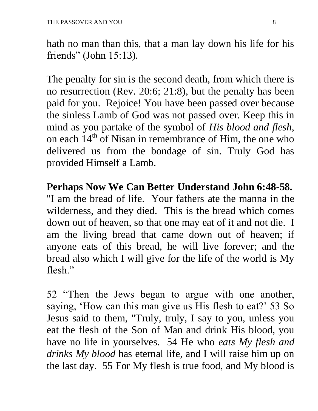hath no man than this, that a man lay down his life for his friends" (John 15:13).

The penalty for sin is the second death, from which there is no resurrection (Rev. 20:6; 21:8), but the penalty has been paid for you. Rejoice! You have been passed over because the sinless Lamb of God was not passed over. Keep this in mind as you partake of the symbol of *His blood and flesh*, on each  $14<sup>th</sup>$  of Nisan in remembrance of Him, the one who delivered us from the bondage of sin. Truly God has provided Himself a Lamb.

**Perhaps Now We Can Better Understand John 6:48-58.** "I am the bread of life. Your fathers ate the manna in the wilderness, and they died. This is the bread which comes down out of heaven, so that one may eat of it and not die. I am the living bread that came down out of heaven; if anyone eats of this bread, he will live forever; and the bread also which I will give for the life of the world is My flesh."

52 "Then the Jews began to argue with one another, saying, 'How can this man give us His flesh to eat?' 53 So Jesus said to them, "Truly, truly, I say to you, unless you eat the flesh of the Son of Man and drink His blood, you have no life in yourselves. 54 He who *eats My flesh and drinks My blood* has eternal life, and I will raise him up on the last day. 55 For My flesh is true food, and My blood is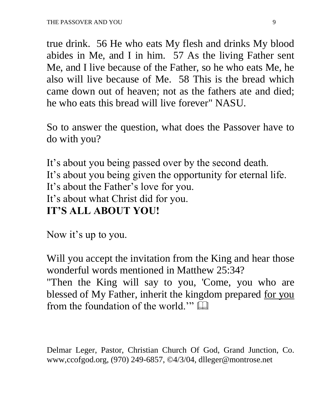true drink. 56 He who eats My flesh and drinks My blood abides in Me, and I in him. 57 As the living Father sent Me, and I live because of the Father, so he who eats Me, he also will live because of Me. 58 This is the bread which came down out of heaven; not as the fathers ate and died; he who eats this bread will live forever" NASU.

So to answer the question, what does the Passover have to do with you?

It's about you being passed over by the second death. It's about you being given the opportunity for eternal life. It's about the Father's love for you. It's about what Christ did for you. **IT'S ALL ABOUT YOU!**

Now it's up to you.

Will you accept the invitation from the King and hear those wonderful words mentioned in Matthew 25:34?

"Then the King will say to you, 'Come, you who are blessed of My Father, inherit the kingdom prepared for you from the foundation of the world."  $\Box$ 

Delmar Leger, Pastor, Christian Church Of God, Grand Junction, Co. www,ccofgod.org, (970) 249-6857, ©4/3/04, dlleger@montrose.net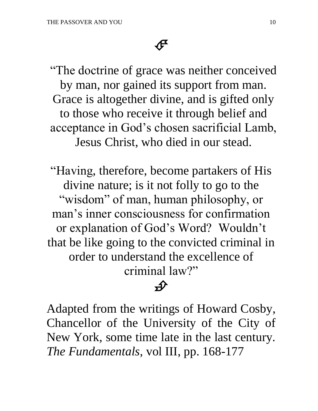"The doctrine of grace was neither conceived by man, nor gained its support from man. Grace is altogether divine, and is gifted only to those who receive it through belief and acceptance in God's chosen sacrificial Lamb, Jesus Christ, who died in our stead.

"Having, therefore, become partakers of His divine nature; is it not folly to go to the "wisdom" of man, human philosophy, or man's inner consciousness for confirmation or explanation of God's Word? Wouldn't that be like going to the convicted criminal in order to understand the excellence of criminal law?"

# $\rightarrow$

Adapted from the writings of Howard Cosby, Chancellor of the University of the City of New York, some time late in the last century. *The Fundamentals,* vol III, pp. 168-177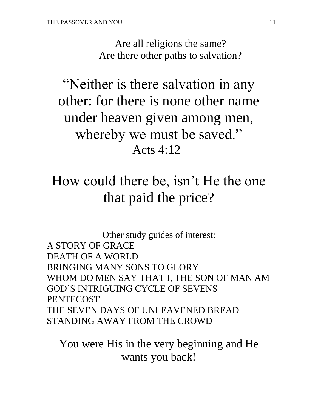Are all religions the same? Are there other paths to salvation?

"Neither is there salvation in any other: for there is none other name under heaven given among men, whereby we must be saved." Acts 4:12

# How could there be, isn't He the one that paid the price?

Other study guides of interest: A STORY OF GRACE DEATH OF A WORLD BRINGING MANY SONS TO GLORY WHOM DO MEN SAY THAT I, THE SON OF MAN AM GOD'S INTRIGUING CYCLE OF SEVENS PENTECOST THE SEVEN DAYS OF UNLEAVENED BREAD STANDING AWAY FROM THE CROWD

You were His in the very beginning and He wants you back!